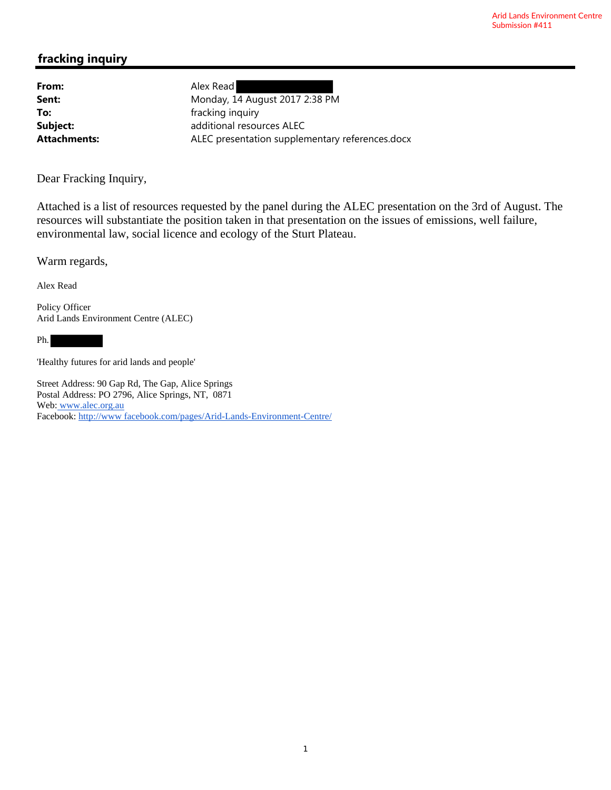# **fracking inquiry**

From: Alex Read

**Sent:** Monday, 14 August 2017 2:38 PM **To: Fracking inquiry fracking inquiry Subject:** additional resources ALEC Attachments: ALEC presentation supplementary references.docx

Dear Fracking Inquiry,

Attached is a list of resources requested by the panel during the ALEC presentation on the 3rd of August. The resources will substantiate the position taken in that presentation on the issues of emissions, well failure, environmental law, social licence and ecology of the Sturt Plateau.

Warm regards,

Alex Read

Policy Officer Arid Lands Environment Centre (ALEC)

Ph.

'Healthy futures for arid lands and people'

Street Address: 90 Gap Rd, The Gap, Alice Springs Postal Address: PO 2796, Alice Springs, NT, 0871 Web: www.alec.org.au Facebook: http://www facebook.com/pages/Arid-Lands-Environment-Centre/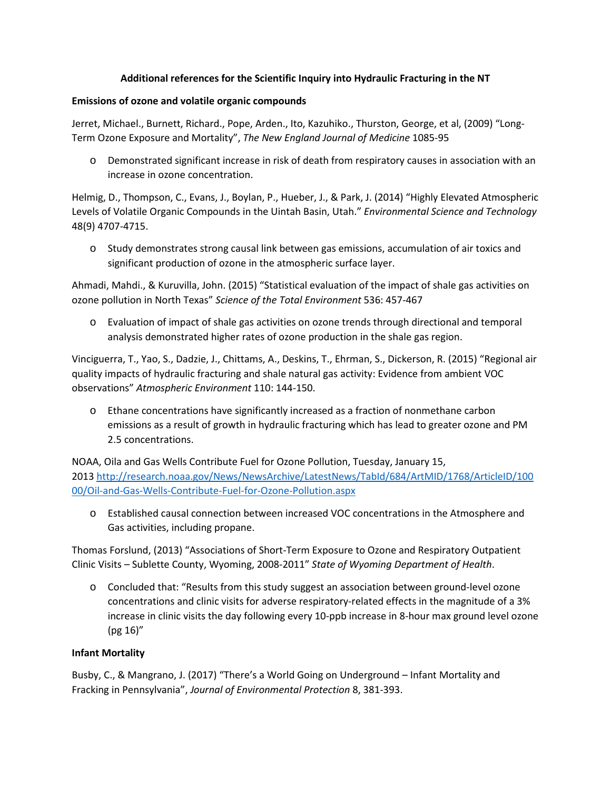## **Additional references for the Scientific Inquiry into Hydraulic Fracturing in the NT**

## **Emissions of ozone and volatile organic compounds**

Jerret, Michael., Burnett, Richard., Pope, Arden., Ito, Kazuhiko., Thurston, George, et al, (2009) "Long-Term Ozone Exposure and Mortality", *The New England Journal of Medicine* 1085-95

o Demonstrated significant increase in risk of death from respiratory causes in association with an increase in ozone concentration.

Helmig, D., Thompson, C., Evans, J., Boylan, P., Hueber, J., & Park, J. (2014) "Highly Elevated Atmospheric Levels of Volatile Organic Compounds in the Uintah Basin, Utah." *Environmental Science and Technology* 48(9) 4707-4715.

o Study demonstrates strong causal link between gas emissions, accumulation of air toxics and significant production of ozone in the atmospheric surface layer.

Ahmadi, Mahdi., & Kuruvilla, John. (2015) "Statistical evaluation of the impact of shale gas activities on ozone pollution in North Texas" *Science of the Total Environment* 536: 457-467

o Evaluation of impact of shale gas activities on ozone trends through directional and temporal analysis demonstrated higher rates of ozone production in the shale gas region.

Vinciguerra, T., Yao, S., Dadzie, J., Chittams, A., Deskins, T., Ehrman, S., Dickerson, R. (2015) "Regional air quality impacts of hydraulic fracturing and shale natural gas activity: Evidence from ambient VOC observations" *Atmospheric Environment* 110: 144-150.

o Ethane concentrations have significantly increased as a fraction of nonmethane carbon emissions as a result of growth in hydraulic fracturing which has lead to greater ozone and PM 2.5 concentrations.

NOAA, Oila and Gas Wells Contribute Fuel for Ozone Pollution, Tuesday, January 15, 2013 http://research.noaa.gov/News/NewsArchive/LatestNews/TabId/684/ArtMID/1768/ArticleID/100 00/Oil-and-Gas-Wells-Contribute-Fuel-for-Ozone-Pollution.aspx

o Established causal connection between increased VOC concentrations in the Atmosphere and Gas activities, including propane.

Thomas Forslund, (2013) "Associations of Short-Term Exposure to Ozone and Respiratory Outpatient Clinic Visits – Sublette County, Wyoming, 2008-2011" *State of Wyoming Department of Health*.

o Concluded that: "Results from this study suggest an association between ground-level ozone concentrations and clinic visits for adverse respiratory-related effects in the magnitude of a 3% increase in clinic visits the day following every 10-ppb increase in 8-hour max ground level ozone (pg 16)"

## **Infant Mortality**

Busby, C., & Mangrano, J. (2017) "There's a World Going on Underground – Infant Mortality and Fracking in Pennsylvania", *Journal of Environmental Protection* 8, 381-393.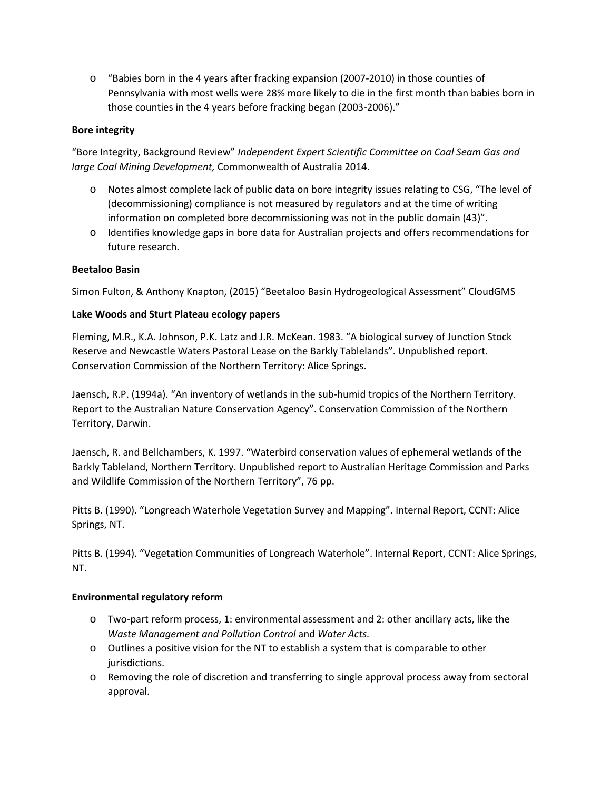o "Babies born in the 4 years after fracking expansion (2007-2010) in those counties of Pennsylvania with most wells were 28% more likely to die in the first month than babies born in those counties in the 4 years before fracking began (2003-2006)."

## **Bore integrity**

"Bore Integrity, Background Review" *Independent Expert Scientific Committee on Coal Seam Gas and large Coal Mining Development,* Commonwealth of Australia 2014.

- o Notes almost complete lack of public data on bore integrity issues relating to CSG, "The level of (decommissioning) compliance is not measured by regulators and at the time of writing information on completed bore decommissioning was not in the public domain (43)".
- o Identifies knowledge gaps in bore data for Australian projects and offers recommendations for future research.

## **Beetaloo Basin**

Simon Fulton, & Anthony Knapton, (2015) "Beetaloo Basin Hydrogeological Assessment" CloudGMS

## **Lake Woods and Sturt Plateau ecology papers**

Fleming, M.R., K.A. Johnson, P.K. Latz and J.R. McKean. 1983. "A biological survey of Junction Stock Reserve and Newcastle Waters Pastoral Lease on the Barkly Tablelands". Unpublished report. Conservation Commission of the Northern Territory: Alice Springs.

Jaensch, R.P. (1994a). "An inventory of wetlands in the sub-humid tropics of the Northern Territory. Report to the Australian Nature Conservation Agency". Conservation Commission of the Northern Territory, Darwin.

Jaensch, R. and Bellchambers, K. 1997. "Waterbird conservation values of ephemeral wetlands of the Barkly Tableland, Northern Territory. Unpublished report to Australian Heritage Commission and Parks and Wildlife Commission of the Northern Territory", 76 pp.

Pitts B. (1990). "Longreach Waterhole Vegetation Survey and Mapping". Internal Report, CCNT: Alice Springs, NT.

Pitts B. (1994). "Vegetation Communities of Longreach Waterhole". Internal Report, CCNT: Alice Springs, NT.

## **Environmental regulatory reform**

- o Two-part reform process, 1: environmental assessment and 2: other ancillary acts, like the *Waste Management and Pollution Control* and *Water Acts.*
- $\circ$  Outlines a positive vision for the NT to establish a system that is comparable to other jurisdictions.
- o Removing the role of discretion and transferring to single approval process away from sectoral approval.